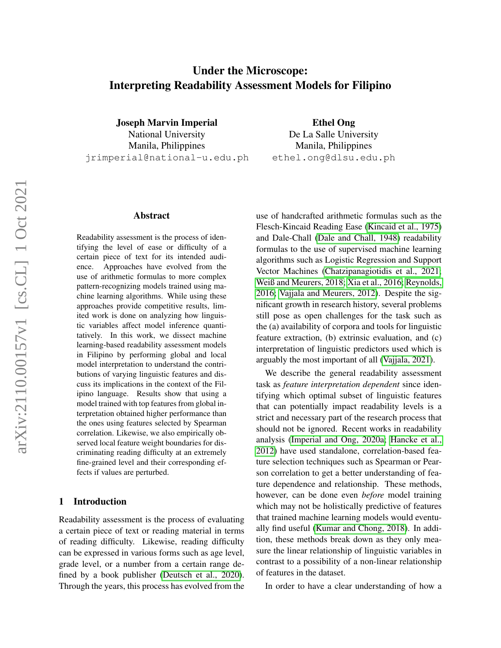# Under the Microscope: Interpreting Readability Assessment Models for Filipino

Joseph Marvin Imperial National University Manila, Philippines jrimperial@national-u.edu.ph

#### Abstract

Readability assessment is the process of identifying the level of ease or difficulty of a certain piece of text for its intended audience. Approaches have evolved from the use of arithmetic formulas to more complex pattern-recognizing models trained using machine learning algorithms. While using these approaches provide competitive results, limited work is done on analyzing how linguistic variables affect model inference quantitatively. In this work, we dissect machine learning-based readability assessment models in Filipino by performing global and local model interpretation to understand the contributions of varying linguistic features and discuss its implications in the context of the Filipino language. Results show that using a model trained with top features from global interpretation obtained higher performance than the ones using features selected by Spearman correlation. Likewise, we also empirically observed local feature weight boundaries for discriminating reading difficulty at an extremely fine-grained level and their corresponding effects if values are perturbed.

#### 1 Introduction

Readability assessment is the process of evaluating a certain piece of text or reading material in terms of reading difficulty. Likewise, reading difficulty can be expressed in various forms such as age level, grade level, or a number from a certain range defined by a book publisher [\(Deutsch et al., 2020\)](#page-8-0). Through the years, this process has evolved from the

Ethel Ong De La Salle University Manila, Philippines ethel.ong@dlsu.edu.ph

use of handcrafted arithmetic formulas such as the Flesch-Kincaid Reading Ease [\(Kincaid et al., 1975\)](#page-8-1) and Dale-Chall [\(Dale and Chall, 1948\)](#page-8-2) readability formulas to the use of supervised machine learning algorithms such as Logistic Regression and Support Vector Machines [\(Chatzipanagiotidis et al., 2021;](#page-8-3) [Weiß and Meurers, 2018;](#page-9-0) [Xia et al., 2016;](#page-9-1) [Reynolds,](#page-8-4) [2016;](#page-8-4) [Vajjala and Meurers, 2012\)](#page-8-5). Despite the significant growth in research history, several problems still pose as open challenges for the task such as the (a) availability of corpora and tools for linguistic feature extraction, (b) extrinsic evaluation, and (c) interpretation of linguistic predictors used which is arguably the most important of all [\(Vajjala, 2021\)](#page-8-6).

We describe the general readability assessment task as *feature interpretation dependent* since identifying which optimal subset of linguistic features that can potentially impact readability levels is a strict and necessary part of the research process that should not be ignored. Recent works in readability analysis [\(Imperial and Ong, 2020a;](#page-8-7) [Hancke et al.,](#page-8-8) [2012\)](#page-8-8) have used standalone, correlation-based feature selection techniques such as Spearman or Pearson correlation to get a better understanding of feature dependence and relationship. These methods, however, can be done even *before* model training which may not be holistically predictive of features that trained machine learning models would eventually find useful [\(Kumar and Chong, 2018\)](#page-8-9). In addition, these methods break down as they only measure the linear relationship of linguistic variables in contrast to a possibility of a non-linear relationship of features in the dataset.

In order to have a clear understanding of how a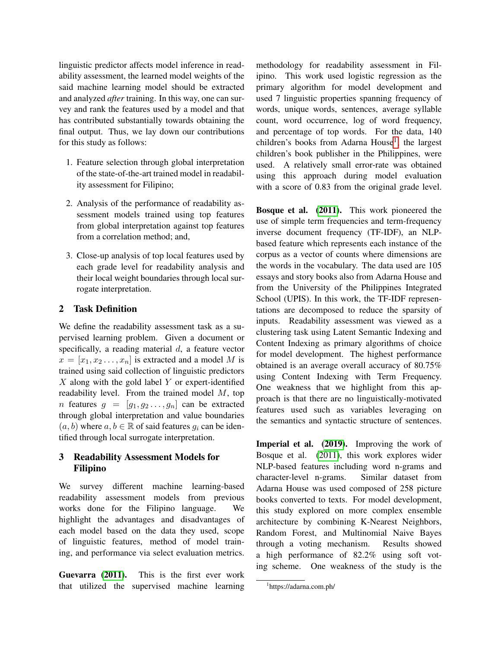linguistic predictor affects model inference in readability assessment, the learned model weights of the said machine learning model should be extracted and analyzed *after* training. In this way, one can survey and rank the features used by a model and that has contributed substantially towards obtaining the final output. Thus, we lay down our contributions for this study as follows:

- 1. Feature selection through global interpretation of the state-of-the-art trained model in readability assessment for Filipino;
- 2. Analysis of the performance of readability assessment models trained using top features from global interpretation against top features from a correlation method; and,
- 3. Close-up analysis of top local features used by each grade level for readability analysis and their local weight boundaries through local surrogate interpretation.

### 2 Task Definition

We define the readability assessment task as a supervised learning problem. Given a document or specifically, a reading material d, a feature vector  $x = [x_1, x_2, \ldots, x_n]$  is extracted and a model M is trained using said collection of linguistic predictors  $X$  along with the gold label  $Y$  or expert-identified readability level. From the trained model M, top *n* features  $g = [g_1, g_2, \dots, g_n]$  can be extracted through global interpretation and value boundaries  $(a, b)$  where  $a, b \in \mathbb{R}$  of said features  $g_i$  can be identified through local surrogate interpretation.

# 3 Readability Assessment Models for Filipino

We survey different machine learning-based readability assessment models from previous works done for the Filipino language. We highlight the advantages and disadvantages of each model based on the data they used, scope of linguistic features, method of model training, and performance via select evaluation metrics.

Guevarra [\(2011\)](#page-8-10). This is the first ever work that utilized the supervised machine learning methodology for readability assessment in Filipino. This work used logistic regression as the primary algorithm for model development and used 7 linguistic properties spanning frequency of words, unique words, sentences, average syllable count, word occurrence, log of word frequency, and percentage of top words. For the data, 140 children's books from Adarna House<sup>[1](#page-1-0)</sup>, the largest children's book publisher in the Philippines, were used. A relatively small error-rate was obtained using this approach during model evaluation with a score of 0.83 from the original grade level.

Bosque et al. [\(2011\)](#page-8-11). This work pioneered the use of simple term frequencies and term-frequency inverse document frequency (TF-IDF), an NLPbased feature which represents each instance of the corpus as a vector of counts where dimensions are the words in the vocabulary. The data used are 105 essays and story books also from Adarna House and from the University of the Philippines Integrated School (UPIS). In this work, the TF-IDF representations are decomposed to reduce the sparsity of inputs. Readability assessment was viewed as a clustering task using Latent Semantic Indexing and Content Indexing as primary algorithms of choice for model development. The highest performance obtained is an average overall accuracy of 80.75% using Content Indexing with Term Frequency. One weakness that we highlight from this approach is that there are no linguistically-motivated features used such as variables leveraging on the semantics and syntactic structure of sentences.

Imperial et al. [\(2019\)](#page-8-12). Improving the work of Bosque et al. [\(2011\)](#page-8-11), this work explores wider NLP-based features including word n-grams and character-level n-grams. Similar dataset from Adarna House was used composed of 258 picture books converted to texts. For model development, this study explored on more complex ensemble architecture by combining K-Nearest Neighbors, Random Forest, and Multinomial Naive Bayes through a voting mechanism. Results showed a high performance of 82.2% using soft voting scheme. One weakness of the study is the

<span id="page-1-0"></span><sup>1</sup> https://adarna.com.ph/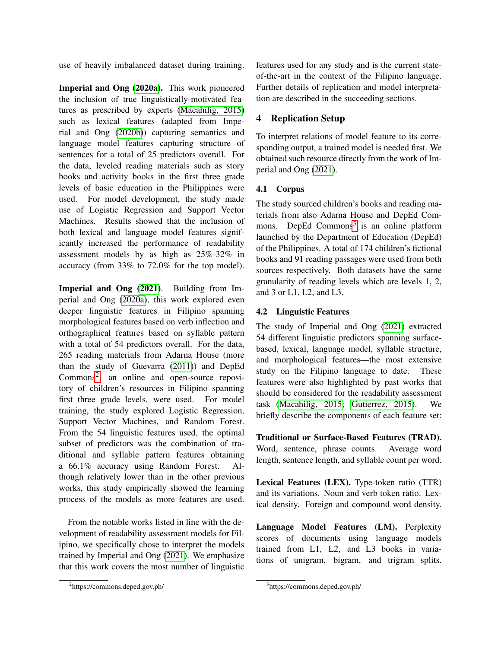use of heavily imbalanced dataset during training.

Imperial and Ong [\(2020a\)](#page-8-7). This work pioneered the inclusion of true linguistically-motivated features as prescribed by experts [\(Macahilig, 2015\)](#page-8-13) such as lexical features (adapted from Imperial and Ong [\(2020b\)](#page-8-14)) capturing semantics and language model features capturing structure of sentences for a total of 25 predictors overall. For the data, leveled reading materials such as story books and activity books in the first three grade levels of basic education in the Philippines were used. For model development, the study made use of Logistic Regression and Support Vector Machines. Results showed that the inclusion of both lexical and language model features significantly increased the performance of readability assessment models by as high as 25%-32% in accuracy (from 33% to 72.0% for the top model).

Imperial and Ong [\(2021\)](#page-8-15). Building from Imperial and Ong [\(2020a\)](#page-8-7), this work explored even deeper linguistic features in Filipino spanning morphological features based on verb inflection and orthographical features based on syllable pattern with a total of 54 predictors overall. For the data, 265 reading materials from Adarna House (more than the study of Guevarra [\(2011\)](#page-8-10)) and DepEd Commons<sup>[2](#page-2-0)</sup>, an online and open-source repository of children's resources in Filipino spanning first three grade levels, were used. For model training, the study explored Logistic Regression, Support Vector Machines, and Random Forest. From the 54 linguistic features used, the optimal subset of predictors was the combination of traditional and syllable pattern features obtaining a 66.1% accuracy using Random Forest. Although relatively lower than in the other previous works, this study empirically showed the learning process of the models as more features are used.

From the notable works listed in line with the development of readability assessment models for Filipino, we specifically chose to interpret the models trained by Imperial and Ong [\(2021\)](#page-8-15). We emphasize that this work covers the most number of linguistic

features used for any study and is the current stateof-the-art in the context of the Filipino language. Further details of replication and model interpretation are described in the succeeding sections.

# 4 Replication Setup

To interpret relations of model feature to its corresponding output, a trained model is needed first. We obtained such resource directly from the work of Imperial and Ong [\(2021\)](#page-8-15).

# 4.1 Corpus

The study sourced children's books and reading materials from also Adarna House and DepEd Com-mons. DepEd Commons<sup>[3](#page-2-1)</sup> is an online platform launched by the Department of Education (DepEd) of the Philippines. A total of 174 children's fictional books and 91 reading passages were used from both sources respectively. Both datasets have the same granularity of reading levels which are levels 1, 2, and 3 or L1, L2, and L3.

# 4.2 Linguistic Features

The study of Imperial and Ong [\(2021\)](#page-8-15) extracted 54 different linguistic predictors spanning surfacebased, lexical, language model, syllable structure, and morphological features—the most extensive study on the Filipino language to date. These features were also highlighted by past works that should be considered for the readability assessment task [\(Macahilig, 2015;](#page-8-13) [Gutierrez, 2015\)](#page-8-16). We briefly describe the components of each feature set:

Traditional or Surface-Based Features (TRAD). Word, sentence, phrase counts. Average word length, sentence length, and syllable count per word.

Lexical Features (LEX). Type-token ratio (TTR) and its variations. Noun and verb token ratio. Lexical density. Foreign and compound word density.

Language Model Features (LM). Perplexity scores of documents using language models trained from L1, L2, and L3 books in variations of unigram, bigram, and trigram splits.

<span id="page-2-0"></span><sup>2</sup> https://commons.deped.gov.ph/

<span id="page-2-1"></span><sup>3</sup> https://commons.deped.gov.ph/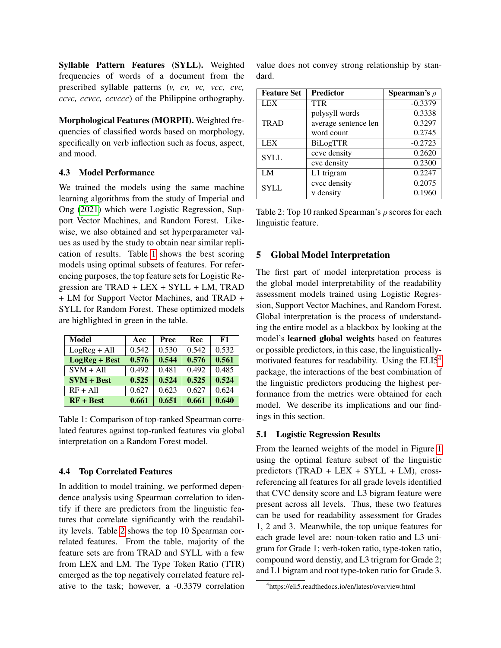Syllable Pattern Features (SYLL). Weighted frequencies of words of a document from the prescribed syllable patterns (*v, cv, vc, vcc, cvc, ccvc, ccvcc, ccvccc*) of the Philippine orthography.

Morphological Features (MORPH). Weighted frequencies of classified words based on morphology, specifically on verb inflection such as focus, aspect, and mood.

#### 4.3 Model Performance

We trained the models using the same machine learning algorithms from the study of Imperial and Ong [\(2021\)](#page-8-15) which were Logistic Regression, Support Vector Machines, and Random Forest. Likewise, we also obtained and set hyperparameter values as used by the study to obtain near similar replication of results. Table [1](#page-3-0) shows the best scoring models using optimal subsets of features. For referencing purposes, the top feature sets for Logistic Regression are TRAD + LEX + SYLL + LM, TRAD + LM for Support Vector Machines, and TRAD + SYLL for Random Forest. These optimized models are highlighted in green in the table.

<span id="page-3-0"></span>

| Model                | Acc   | Prec  | Rec   | F1    |  |
|----------------------|-------|-------|-------|-------|--|
| $LogReg + All$       | 0.542 | 0.530 | 0.542 | 0.532 |  |
| <b>LogReg + Best</b> | 0.576 | 0.544 | 0.576 | 0.561 |  |
| $SVM + All$          | 0.492 | 0.481 | 0.492 | 0.485 |  |
| $SVM + Best$         | 0.525 | 0.524 | 0.525 | 0.524 |  |
| $RF + All$           | 0.627 | 0.623 | 0.627 | 0.624 |  |
| $RF + Best$          | 0.661 | 0.651 | 0.661 | 0.640 |  |

Table 1: Comparison of top-ranked Spearman correlated features against top-ranked features via global interpretation on a Random Forest model.

#### 4.4 Top Correlated Features

In addition to model training, we performed dependence analysis using Spearman correlation to identify if there are predictors from the linguistic features that correlate significantly with the readability levels. Table [2](#page-3-1) shows the top 10 Spearman correlated features. From the table, majority of the feature sets are from TRAD and SYLL with a few from LEX and LM. The Type Token Ratio (TTR) emerged as the top negatively correlated feature relative to the task; however, a -0.3379 correlation value does not convey strong relationship by standard.

<span id="page-3-1"></span>

| <b>Feature Set</b> | <b>Predictor</b>     | <b>Spearman's</b> $\rho$ |
|--------------------|----------------------|--------------------------|
| LEX                | <b>TTR</b>           | $-0.3379$                |
|                    | polysyll words       | 0.3338                   |
| TRAD               | average sentence len | 0.3297                   |
|                    | word count           | 0.2745                   |
| <b>LEX</b>         | <b>BiLogTTR</b>      | $-0.2723$                |
| <b>SYLL</b>        | ccvc density         | 0.2620                   |
|                    | cvc density          | 0.2300                   |
| LM                 | L1 trigram           | 0.2247                   |
| <b>SYLL</b>        | cvcc density         | 0.2075                   |
|                    | v density            | 0.1960                   |

Table 2: Top 10 ranked Spearman's  $\rho$  scores for each linguistic feature.

#### 5 Global Model Interpretation

The first part of model interpretation process is the global model interpretability of the readability assessment models trained using Logistic Regression, Support Vector Machines, and Random Forest. Global interpretation is the process of understanding the entire model as a blackbox by looking at the model's learned global weights based on features or possible predictors, in this case, the linguisticallymotivated features for readability. Using the ELI5[4](#page-3-2) package, the interactions of the best combination of the linguistic predictors producing the highest performance from the metrics were obtained for each model. We describe its implications and our findings in this section.

#### 5.1 Logistic Regression Results

From the learned weights of the model in Figure [1](#page-4-0) using the optimal feature subset of the linguistic predictors  $(TRAD + LEX + SYLL + LM)$ , crossreferencing all features for all grade levels identified that CVC density score and L3 bigram feature were present across all levels. Thus, these two features can be used for readability assessment for Grades 1, 2 and 3. Meanwhile, the top unique features for each grade level are: noun-token ratio and L3 unigram for Grade 1; verb-token ratio, type-token ratio, compound word denstiy, and L3 trigram for Grade 2; and L1 bigram and root type-token ratio for Grade 3.

<span id="page-3-2"></span><sup>4</sup> https://eli5.readthedocs.io/en/latest/overview.html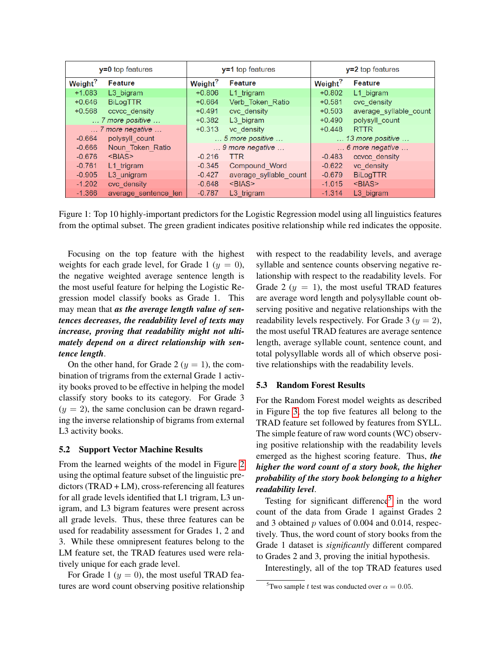<span id="page-4-0"></span>

|                     | $y=0$ top features                | $y=1$ top features     |                        | $y=2$ top features                |                                  |
|---------------------|-----------------------------------|------------------------|------------------------|-----------------------------------|----------------------------------|
| Weight <sup>?</sup> | <b>Feature</b>                    | Weight <sup>?</sup>    | <b>Feature</b>         | Weight <sup>?</sup>               | <b>Feature</b>                   |
| $+1.083$            | L <sub>3</sub> bigram             | $+0.806$               | L1 trigram             | $+0.802$                          | L1 bigram                        |
| $+0.646$            | <b>BiLogTTR</b>                   | $+0.664$               | Verb Token Ratio       | $+0.581$                          | cvc density                      |
| $+0.568$            | ccvcc density                     | $+0.491$               | cvc density            | $+0.503$                          | average syllable count           |
|                     | $\ldots$ 7 more positive $\ldots$ | $+0.382$               | L <sub>3</sub> bigram  | $+0.490$                          | polysyll count                   |
|                     | $\ldots$ 7 more negative $\ldots$ | $+0.313$<br>vc density |                        | $+0.448$                          | <b>RTTR</b>                      |
| $-0.664$            | polysyll count                    | 5 more positive        |                        |                                   | $\dots$ 13 more positive $\dots$ |
| $-0.666$            | Noun Token Ratio                  | 9 more negative        |                        | $\ldots$ 6 more negative $\ldots$ |                                  |
| $-0.676$            | <bias></bias>                     | $-0.216$               | <b>TTR</b>             | $-0.483$                          | ccvcc density                    |
| $-0.761$            | L1 trigram                        | $-0.345$               | Compound Word          | $-0.622$                          | vc density                       |
| $-0.905$            | L3 unigram                        | $-0.427$               | average syllable count | $-0.679$                          | <b>BiLogTTR</b>                  |
| $-1.202$            | cvc density                       | $-0.648$               | $<$ BIAS $>$           | $-1.015$                          | $<$ BIAS $>$                     |
| $-1.366$            | average sentence len              | $-0.787$               | L <sub>3</sub> trigram | $-1.314$                          | L <sub>3</sub> bigram            |

Figure 1: Top 10 highly-important predictors for the Logistic Regression model using all linguistics features from the optimal subset. The green gradient indicates positive relationship while red indicates the opposite.

Focusing on the top feature with the highest weights for each grade level, for Grade 1 ( $y = 0$ ), the negative weighted average sentence length is the most useful feature for helping the Logistic Regression model classify books as Grade 1. This may mean that *as the average length value of sentences decreases, the readability level of texts may increase, proving that readability might not ultimately depend on a direct relationship with sentence length*.

On the other hand, for Grade 2 ( $y = 1$ ), the combination of trigrams from the external Grade 1 activity books proved to be effective in helping the model classify story books to its category. For Grade 3  $(y = 2)$ , the same conclusion can be drawn regarding the inverse relationship of bigrams from external L3 activity books.

#### 5.2 Support Vector Machine Results

From the learned weights of the model in Figure [2](#page-5-0) using the optimal feature subset of the linguistic predictors (TRAD + LM), cross-referencing all features for all grade levels identified that L1 trigram, L3 unigram, and L3 bigram features were present across all grade levels. Thus, these three features can be used for readability assessment for Grades 1, 2 and 3. While these omnipresent features belong to the LM feature set, the TRAD features used were relatively unique for each grade level.

For Grade 1 ( $y = 0$ ), the most useful TRAD features are word count observing positive relationship with respect to the readability levels, and average syllable and sentence counts observing negative relationship with respect to the readability levels. For Grade 2 ( $y = 1$ ), the most useful TRAD features are average word length and polysyllable count observing positive and negative relationships with the readability levels respectively. For Grade 3 ( $y = 2$ ), the most useful TRAD features are average sentence length, average syllable count, sentence count, and total polysyllable words all of which observe positive relationships with the readability levels.

#### 5.3 Random Forest Results

For the Random Forest model weights as described in Figure [3,](#page-5-1) the top five features all belong to the TRAD feature set followed by features from SYLL. The simple feature of raw word counts (WC) observing positive relationship with the readability levels emerged as the highest scoring feature. Thus, *the higher the word count of a story book, the higher probability of the story book belonging to a higher readability level*.

Testing for significant difference<sup>[5](#page-4-1)</sup> in the word count of the data from Grade 1 against Grades 2 and 3 obtained  $p$  values of 0.004 and 0.014, respectively. Thus, the word count of story books from the Grade 1 dataset is *significantly* different compared to Grades 2 and 3, proving the initial hypothesis.

Interestingly, all of the top TRAD features used

<span id="page-4-1"></span><sup>&</sup>lt;sup>5</sup>Two sample t test was conducted over  $\alpha = 0.05$ .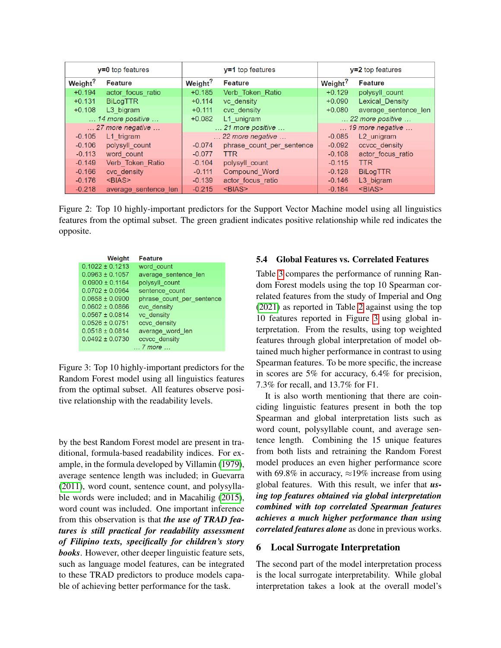<span id="page-5-0"></span>

|                                | $y=0$ top features                 | $y=1$ top features  |                                    | $y=2$ top features  |                                    |
|--------------------------------|------------------------------------|---------------------|------------------------------------|---------------------|------------------------------------|
| Weight <sup>?</sup><br>Feature |                                    | Weight <sup>?</sup> | <b>Feature</b>                     | Weight <sup>?</sup> | <b>Feature</b>                     |
| $+0.194$                       | actor focus ratio                  | $+0.185$            | Verb Token Ratio                   | $+0.129$            | polysyll count                     |
| $+0.131$                       | <b>BiLogTTR</b>                    | $+0.114$            | vc density                         | $+0.090$            | <b>Lexical Density</b>             |
| $+0.108$                       | L3 bigram                          | $+0.111$            | cvc density                        | $+0.080$            | average sentence len               |
|                                | $\ldots$ 14 more positive $\ldots$ | $+0.082$            | L1 unigram                         |                     | $\ldots$ 22 more positive $\ldots$ |
|                                | $\ldots$ 27 more negative $\ldots$ |                     | $\ldots$ 21 more positive $\ldots$ |                     | $\ldots$ 19 more negative $\ldots$ |
| $-0.105$                       | L1 trigram                         |                     | $\ldots$ 22 more negative $\ldots$ | $-0.085$            | L <sub>2</sub> unigram             |
| $-0.106$                       | polysyll count                     | $-0.074$            | phrase count per sentence          | $-0.092$            | ccvcc density                      |
| $-0.113$                       | word count                         | $-0.077$            | <b>TTR</b>                         | $-0.108$            | actor focus ratio                  |
| $-0.149$                       | Verb Token Ratio                   | $-0.104$            | polysyll count                     | $-0.115$            | TTR.                               |
| $-0.166$                       | cvc density                        | $-0.111$            | Compound Word                      | $-0.128$            | <b>BiLogTTR</b>                    |
| $-0.176$<br>$<$ BIAS $>$       |                                    | $-0.139$            | actor focus ratio                  | $-0.146$            | L3 bigram                          |
| $-0.218$                       | average sentence len               | $-0.215$            | $<$ BIAS $>$                       | $-0.184$            | $<$ BIAS $>$                       |

Figure 2: Top 10 highly-important predictors for the Support Vector Machine model using all linguistics features from the optimal subset. The green gradient indicates positive relationship while red indicates the opposite.

<span id="page-5-1"></span>

| <b>Weight</b>            | <b>Feature</b>            |  |  |  |
|--------------------------|---------------------------|--|--|--|
| $0.1022 \pm 0.1213$      | word count                |  |  |  |
| $0.0963 \pm 0.1057$      | average sentence len      |  |  |  |
| $0.0900 \pm 0.1164$      | polysyll count            |  |  |  |
| $0.0702 \pm 0.0964$      | sentence count            |  |  |  |
| $0.0658 + 0.0900$        | phrase count per sentence |  |  |  |
| $0.0602 \pm 0.0866$      | cvc density               |  |  |  |
| $0.0567 \pm 0.0814$      | vc density                |  |  |  |
| $0.0526 + 0.0751$        | ccvc density              |  |  |  |
| $0.0518 \pm 0.0814$      | average_word_len          |  |  |  |
| $0.0492 \pm 0.0730$      | ccvcc density             |  |  |  |
| $\ldots$ 7 more $\ldots$ |                           |  |  |  |

Figure 3: Top 10 highly-important predictors for the Random Forest model using all linguistics features from the optimal subset. All features observe positive relationship with the readability levels.

by the best Random Forest model are present in traditional, formula-based readability indices. For example, in the formula developed by Villamin [\(1979\)](#page-9-2), average sentence length was included; in Guevarra [\(2011\)](#page-8-10), word count, sentence count, and polysyllable words were included; and in Macahilig [\(2015\)](#page-8-13), word count was included. One important inference from this observation is that *the use of TRAD features is still practical for readability assessment of Filipino texts, specifically for children's story books*. However, other deeper linguistic feature sets, such as language model features, can be integrated to these TRAD predictors to produce models capable of achieving better performance for the task.

#### 5.4 Global Features vs. Correlated Features

Table [3](#page-6-0) compares the performance of running Random Forest models using the top 10 Spearman correlated features from the study of Imperial and Ong [\(2021\)](#page-8-15) as reported in Table [2](#page-3-1) against using the top 10 features reported in Figure [3](#page-5-1) using global interpretation. From the results, using top weighted features through global interpretation of model obtained much higher performance in contrast to using Spearman features. To be more specific, the increase in scores are 5% for accuracy, 6.4% for precision, 7.3% for recall, and 13.7% for F1.

It is also worth mentioning that there are coinciding linguistic features present in both the top Spearman and global interpretation lists such as word count, polysyllable count, and average sentence length. Combining the 15 unique features from both lists and retraining the Random Forest model produces an even higher performance score with 69.8% in accuracy,  $\approx$ 19% increase from using global features. With this result, we infer that *using top features obtained via global interpretation combined with top correlated Spearman features achieves a much higher performance than using correlated features alone* as done in previous works.

#### 6 Local Surrogate Interpretation

The second part of the model interpretation process is the local surrogate interpretability. While global interpretation takes a look at the overall model's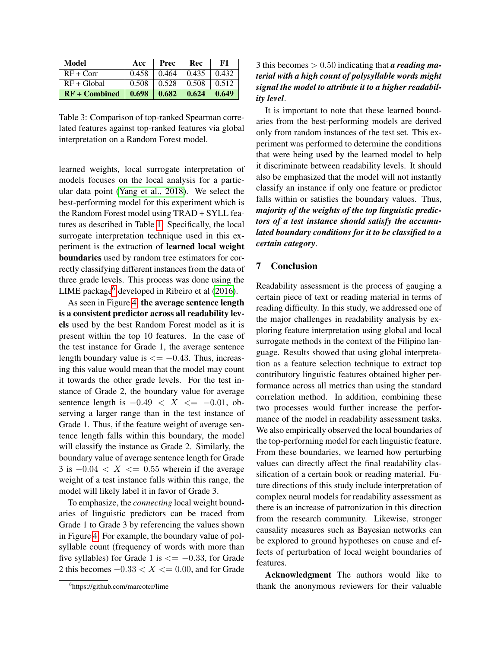<span id="page-6-0"></span>

| Model           | Acc   | Prec  | Rec   | F1    |
|-----------------|-------|-------|-------|-------|
| $RF + Corr$     | 0.458 | 0.464 | 0.435 | 0.432 |
| $RF + Global$   | 0.508 | 0.528 | 0.508 | 0.512 |
| $RF + Combined$ | 0.698 | 0.682 | 0.624 | 0.649 |

Table 3: Comparison of top-ranked Spearman correlated features against top-ranked features via global interpretation on a Random Forest model.

learned weights, local surrogate interpretation of models focuses on the local analysis for a particular data point [\(Yang et al., 2018\)](#page-9-3). We select the best-performing model for this experiment which is the Random Forest model using TRAD + SYLL features as described in Table [1.](#page-3-0) Specifically, the local surrogate interpretation technique used in this experiment is the extraction of learned local weight boundaries used by random tree estimators for correctly classifying different instances from the data of three grade levels. This process was done using the LIME package<sup>[6](#page-6-1)</sup> developed in Ribeiro et al  $(2016)$ .

As seen in Figure [4,](#page-7-0) the average sentence length is a consistent predictor across all readability levels used by the best Random Forest model as it is present within the top 10 features. In the case of the test instance for Grade 1, the average sentence length boundary value is  $\leq$  -0.43. Thus, increasing this value would mean that the model may count it towards the other grade levels. For the test instance of Grade 2, the boundary value for average sentence length is  $-0.49 < X \le -0.01$ , observing a larger range than in the test instance of Grade 1. Thus, if the feature weight of average sentence length falls within this boundary, the model will classify the instance as Grade 2. Similarly, the boundary value of average sentence length for Grade  $3$  is  $-0.04 < X < 0.55$  wherein if the average weight of a test instance falls within this range, the model will likely label it in favor of Grade 3.

To emphasize, the *connecting* local weight boundaries of linguistic predictors can be traced from Grade 1 to Grade 3 by referencing the values shown in Figure [4.](#page-7-0) For example, the boundary value of polsyllable count (frequency of words with more than five syllables) for Grade 1 is  $\leq$  = -0.33, for Grade 2 this becomes  $-0.33 < X < 0.00$ , and for Grade 3 this becomes > 0.50 indicating that *a reading material with a high count of polysyllable words might signal the model to attribute it to a higher readability level*.

It is important to note that these learned boundaries from the best-performing models are derived only from random instances of the test set. This experiment was performed to determine the conditions that were being used by the learned model to help it discriminate between readability levels. It should also be emphasized that the model will not instantly classify an instance if only one feature or predictor falls within or satisfies the boundary values. Thus, *majority of the weights of the top linguistic predictors of a test instance should satisfy the accumulated boundary conditions for it to be classified to a certain category*.

### 7 Conclusion

Readability assessment is the process of gauging a certain piece of text or reading material in terms of reading difficulty. In this study, we addressed one of the major challenges in readability analysis by exploring feature interpretation using global and local surrogate methods in the context of the Filipino language. Results showed that using global interpretation as a feature selection technique to extract top contributory linguistic features obtained higher performance across all metrics than using the standard correlation method. In addition, combining these two processes would further increase the performance of the model in readability assessment tasks. We also empirically observed the local boundaries of the top-performing model for each linguistic feature. From these boundaries, we learned how perturbing values can directly affect the final readability classification of a certain book or reading material. Future directions of this study include interpretation of complex neural models for readability assessment as there is an increase of patronization in this direction from the research community. Likewise, stronger causality measures such as Bayesian networks can be explored to ground hypotheses on cause and effects of perturbation of local weight boundaries of features.

Acknowledgment The authors would like to thank the anonymous reviewers for their valuable

<span id="page-6-1"></span><sup>6</sup> https://github.com/marcotcr/lime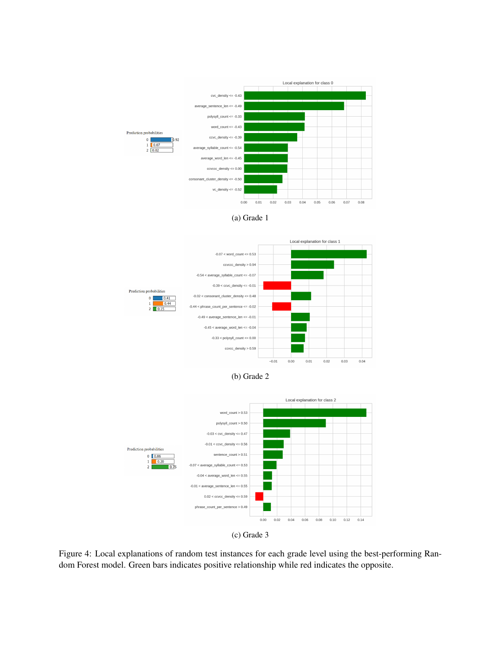<span id="page-7-0"></span>











Figure 4: Local explanations of random test instances for each grade level using the best-performing Random Forest model. Green bars indicates positive relationship while red indicates the opposite.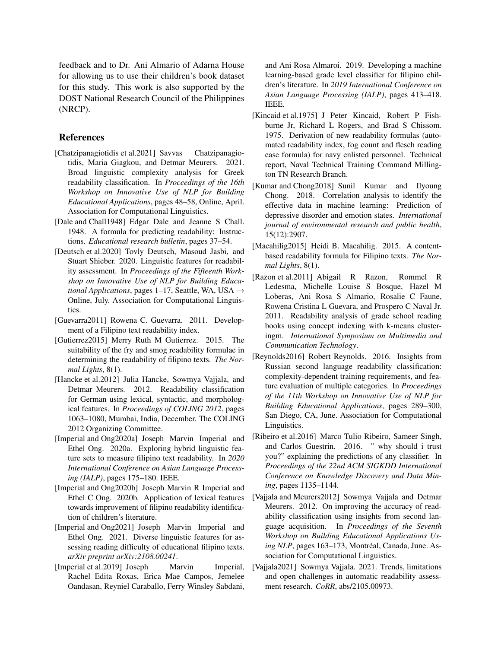feedback and to Dr. Ani Almario of Adarna House for allowing us to use their children's book dataset for this study. This work is also supported by the DOST National Research Council of the Philippines (NRCP).

#### References

- <span id="page-8-3"></span>[Chatzipanagiotidis et al.2021] Savvas Chatzipanagiotidis, Maria Giagkou, and Detmar Meurers. 2021. Broad linguistic complexity analysis for Greek readability classification. In *Proceedings of the 16th Workshop on Innovative Use of NLP for Building Educational Applications*, pages 48–58, Online, April. Association for Computational Linguistics.
- <span id="page-8-2"></span>[Dale and Chall1948] Edgar Dale and Jeanne S Chall. 1948. A formula for predicting readability: Instructions. *Educational research bulletin*, pages 37–54.
- <span id="page-8-0"></span>[Deutsch et al.2020] Tovly Deutsch, Masoud Jasbi, and Stuart Shieber. 2020. Linguistic features for readability assessment. In *Proceedings of the Fifteenth Workshop on Innovative Use of NLP for Building Educational Applications*, pages 1–17, Seattle, WA, USA  $\rightarrow$ Online, July. Association for Computational Linguistics.
- <span id="page-8-10"></span>[Guevarra2011] Rowena C. Guevarra. 2011. Development of a Filipino text readability index.
- <span id="page-8-16"></span>[Gutierrez2015] Merry Ruth M Gutierrez. 2015. The suitability of the fry and smog readability formulae in determining the readability of filipino texts. *The Normal Lights*, 8(1).
- <span id="page-8-8"></span>[Hancke et al.2012] Julia Hancke, Sowmya Vajjala, and Detmar Meurers. 2012. Readability classification for German using lexical, syntactic, and morphological features. In *Proceedings of COLING 2012*, pages 1063–1080, Mumbai, India, December. The COLING 2012 Organizing Committee.
- <span id="page-8-7"></span>[Imperial and Ong2020a] Joseph Marvin Imperial and Ethel Ong. 2020a. Exploring hybrid linguistic feature sets to measure filipino text readability. In *2020 International Conference on Asian Language Processing (IALP)*, pages 175–180. IEEE.
- <span id="page-8-14"></span>[Imperial and Ong2020b] Joseph Marvin R Imperial and Ethel C Ong. 2020b. Application of lexical features towards improvement of filipino readability identification of children's literature.
- <span id="page-8-15"></span>[Imperial and Ong2021] Joseph Marvin Imperial and Ethel Ong. 2021. Diverse linguistic features for assessing reading difficulty of educational filipino texts. *arXiv preprint arXiv:2108.00241*.
- <span id="page-8-12"></span>[Imperial et al.2019] Joseph Marvin Imperial, Rachel Edita Roxas, Erica Mae Campos, Jemelee Oandasan, Reyniel Caraballo, Ferry Winsley Sabdani,

and Ani Rosa Almaroi. 2019. Developing a machine learning-based grade level classifier for filipino children's literature. In *2019 International Conference on Asian Language Processing (IALP)*, pages 413–418. IEEE.

- <span id="page-8-1"></span>[Kincaid et al.1975] J Peter Kincaid, Robert P Fishburne Jr, Richard L Rogers, and Brad S Chissom. 1975. Derivation of new readability formulas (automated readability index, fog count and flesch reading ease formula) for navy enlisted personnel. Technical report, Naval Technical Training Command Millington TN Research Branch.
- <span id="page-8-9"></span>[Kumar and Chong2018] Sunil Kumar and Ilyoung Chong. 2018. Correlation analysis to identify the effective data in machine learning: Prediction of depressive disorder and emotion states. *International journal of environmental research and public health*, 15(12):2907.
- <span id="page-8-13"></span>[Macahilig2015] Heidi B. Macahilig. 2015. A contentbased readability formula for Filipino texts. *The Normal Lights*, 8(1).
- <span id="page-8-11"></span>[Razon et al.2011] Abigail R Razon, Rommel R Ledesma, Michelle Louise S Bosque, Hazel M Loberas, Ani Rosa S Almario, Rosalie C Faune, Rowena Cristina L Guevara, and Prospero C Naval Jr. 2011. Readability analysis of grade school reading books using concept indexing with k-means clusteringm. *International Symposium on Multimedia and Communication Technology*.
- <span id="page-8-4"></span>[Reynolds2016] Robert Reynolds. 2016. Insights from Russian second language readability classification: complexity-dependent training requirements, and feature evaluation of multiple categories. In *Proceedings of the 11th Workshop on Innovative Use of NLP for Building Educational Applications*, pages 289–300, San Diego, CA, June. Association for Computational Linguistics.
- <span id="page-8-17"></span>[Ribeiro et al.2016] Marco Tulio Ribeiro, Sameer Singh, and Carlos Guestrin. 2016. " why should i trust you?" explaining the predictions of any classifier. In *Proceedings of the 22nd ACM SIGKDD International Conference on Knowledge Discovery and Data Mining*, pages 1135–1144.
- <span id="page-8-5"></span>[Vajjala and Meurers2012] Sowmya Vajjala and Detmar Meurers. 2012. On improving the accuracy of readability classification using insights from second language acquisition. In *Proceedings of the Seventh Workshop on Building Educational Applications Using NLP*, pages 163–173, Montréal, Canada, June. Association for Computational Linguistics.
- <span id="page-8-6"></span>[Vajjala2021] Sowmya Vajjala. 2021. Trends, limitations and open challenges in automatic readability assessment research. *CoRR*, abs/2105.00973.